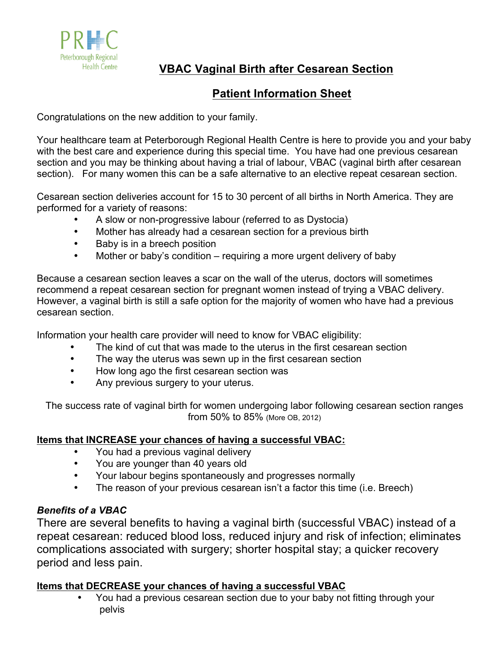

**VBAC Vaginal Birth after Cesarean Section**

# **Patient Information Sheet**

Congratulations on the new addition to your family.

Your healthcare team at Peterborough Regional Health Centre is here to provide you and your baby with the best care and experience during this special time. You have had one previous cesarean section and you may be thinking about having a trial of labour, VBAC (vaginal birth after cesarean section). For many women this can be a safe alternative to an elective repeat cesarean section.

Cesarean section deliveries account for 15 to 30 percent of all births in North America. They are performed for a variety of reasons:

- A slow or non-progressive labour (referred to as Dystocia)
- Mother has already had a cesarean section for a previous birth
- Baby is in a breech position
- Mother or baby's condition requiring a more urgent delivery of baby

Because a cesarean section leaves a scar on the wall of the uterus, doctors will sometimes recommend a repeat cesarean section for pregnant women instead of trying a VBAC delivery. However, a vaginal birth is still a safe option for the majority of women who have had a previous cesarean section.

Information your health care provider will need to know for VBAC eligibility:

- The kind of cut that was made to the uterus in the first cesarean section
- The way the uterus was sewn up in the first cesarean section
- How long ago the first cesarean section was
- Any previous surgery to your uterus.

The success rate of vaginal birth for women undergoing labor following cesarean section ranges from 50% to 85% (More OB, 2012)

# **Items that INCREASE your chances of having a successful VBAC:**

- You had a previous vaginal delivery
- You are younger than 40 years old
- Your labour begins spontaneously and progresses normally
- The reason of your previous cesarean isn't a factor this time (i.e. Breech)

# *Benefits of a VBAC*

There are several benefits to having a vaginal birth (successful VBAC) instead of a repeat cesarean: reduced blood loss, reduced injury and risk of infection; eliminates complications associated with surgery; shorter hospital stay; a quicker recovery period and less pain.

# **Items that DECREASE your chances of having a successful VBAC**

• You had a previous cesarean section due to your baby not fitting through your pelvis